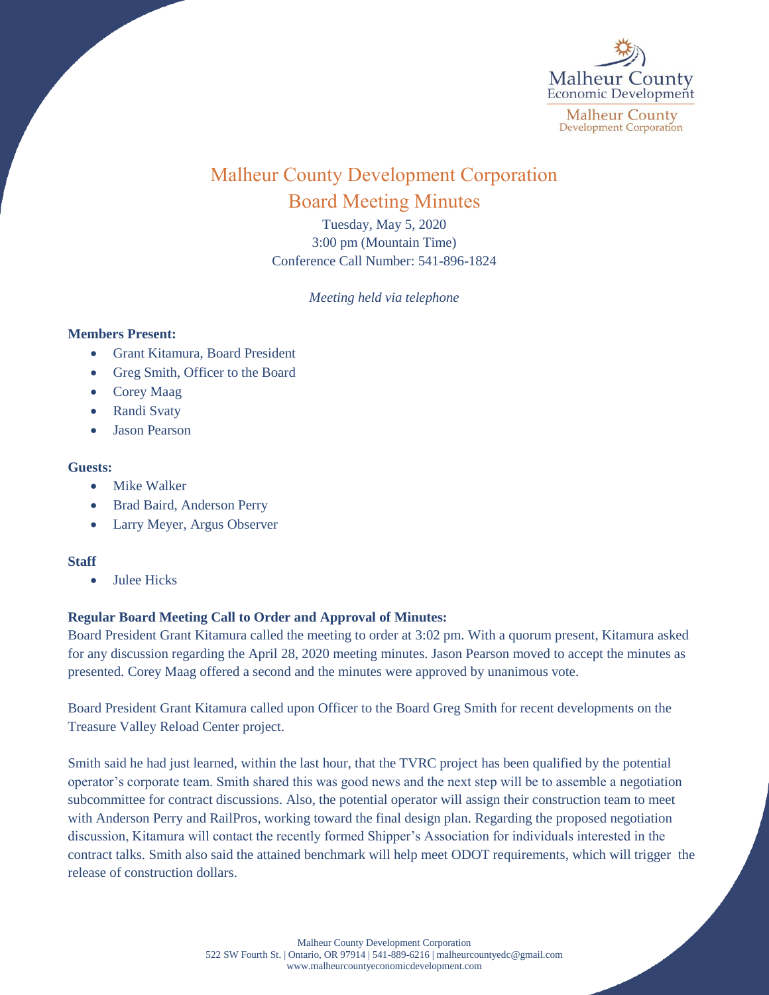

# Malheur County Development Corporation Board Meeting Minutes

Tuesday, May 5, 2020 3:00 pm (Mountain Time) Conference Call Number: 541-896-1824

*Meeting held via telephone*

### **Members Present:**

- Grant Kitamura, Board President
- Greg Smith, Officer to the Board
- Corey Maag
- Randi Svaty
- Jason Pearson

## **Guests:**

- Mike Walker
- Brad Baird, Anderson Perry
- Larry Meyer, Argus Observer

## **Staff**

• Julee Hicks

## **Regular Board Meeting Call to Order and Approval of Minutes:**

Board President Grant Kitamura called the meeting to order at 3:02 pm. With a quorum present, Kitamura asked for any discussion regarding the April 28, 2020 meeting minutes. Jason Pearson moved to accept the minutes as presented. Corey Maag offered a second and the minutes were approved by unanimous vote.

Board President Grant Kitamura called upon Officer to the Board Greg Smith for recent developments on the Treasure Valley Reload Center project.

Smith said he had just learned, within the last hour, that the TVRC project has been qualified by the potential operator's corporate team. Smith shared this was good news and the next step will be to assemble a negotiation subcommittee for contract discussions. Also, the potential operator will assign their construction team to meet with Anderson Perry and RailPros, working toward the final design plan. Regarding the proposed negotiation discussion, Kitamura will contact the recently formed Shipper's Association for individuals interested in the contract talks. Smith also said the attained benchmark will help meet ODOT requirements, which will trigger the release of construction dollars.